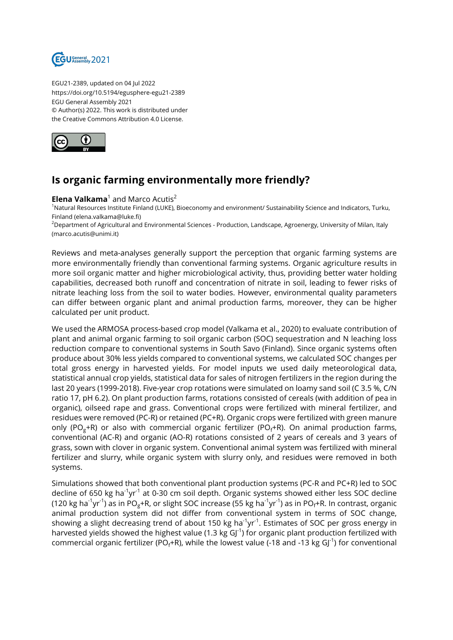

EGU21-2389, updated on 04 Jul 2022 https://doi.org/10.5194/egusphere-egu21-2389 EGU General Assembly 2021 © Author(s) 2022. This work is distributed under the Creative Commons Attribution 4.0 License.



## **Is organic farming environmentally more friendly?**

## **Elena Valkama**<sup>1</sup> and Marco Acutis<sup>2</sup>

<sup>1</sup>Natural Resources Institute Finland (LUKE), Bioeconomy and environment/ Sustainability Science and Indicators, Turku, Finland (elena.valkama@luke.fi)

 $2$ Department of Agricultural and Environmental Sciences - Production, Landscape, Agroenergy, University of Milan, Italy (marco.acutis@unimi.it)

Reviews and meta-analyses generally support the perception that organic farming systems are more environmentally friendly than conventional farming systems. Organic agriculture results in more soil organic matter and higher microbiological activity, thus, providing better water holding capabilities, decreased both runoff and concentration of nitrate in soil, leading to fewer risks of nitrate leaching loss from the soil to water bodies. However, environmental quality parameters can differ between organic plant and animal production farms, moreover, they can be higher calculated per unit product.

We used the ARMOSA process-based crop model (Valkama et al., 2020) to evaluate contribution of plant and animal organic farming to soil organic carbon (SOC) sequestration and N leaching loss reduction compare to conventional systems in South Savo (Finland). Since organic systems often produce about 30% less yields compared to conventional systems, we calculated SOC changes per total gross energy in harvested yields. For model inputs we used daily meteorological data, statistical annual crop yields, statistical data for sales of nitrogen fertilizers in the region during the last 20 years (1999-2018). Five-year crop rotations were simulated on loamy sand soil (C 3.5 %, C/N ratio 17, pH 6.2). On plant production farms, rotations consisted of cereals (with addition of pea in organic), oilseed rape and grass. Conventional crops were fertilized with mineral fertilizer, and residues were removed (PC-R) or retained (PC+R). Organic crops were fertilized with green manure only (PO<sub>g</sub>+R) or also with commercial organic fertilizer (PO<sub>f</sub>+R). On animal production farms, conventional (AC-R) and organic (AO-R) rotations consisted of 2 years of cereals and 3 years of grass, sown with clover in organic system. Conventional animal system was fertilized with mineral fertilizer and slurry, while organic system with slurry only, and residues were removed in both systems.

Simulations showed that both conventional plant production systems (PC-R and PC+R) led to SOC decline of 650 kg ha<sup>-1</sup>yr<sup>-1</sup> at 0-30 cm soil depth. Organic systems showed either less SOC decline (120 kg ha<sup>-1</sup>yr<sup>-1</sup>) as in PO<sub>g</sub>+R, or slight SOC increase (55 kg ha<sup>-1</sup>yr<sup>-1</sup>) as in PO<sub>f</sub>+R. In contrast, organic animal production system did not differ from conventional system in terms of SOC change, showing a slight decreasing trend of about 150 kg ha<sup>-1</sup>yr<sup>-1</sup>. Estimates of SOC per gross energy in harvested yields showed the highest value (1.3 kg  $GI^{-1}$ ) for organic plant production fertilized with commercial organic fertilizer (PO<sub>f</sub>+R), while the lowest value (-18 and -13 kg GJ<sup>-1</sup>) for conventional